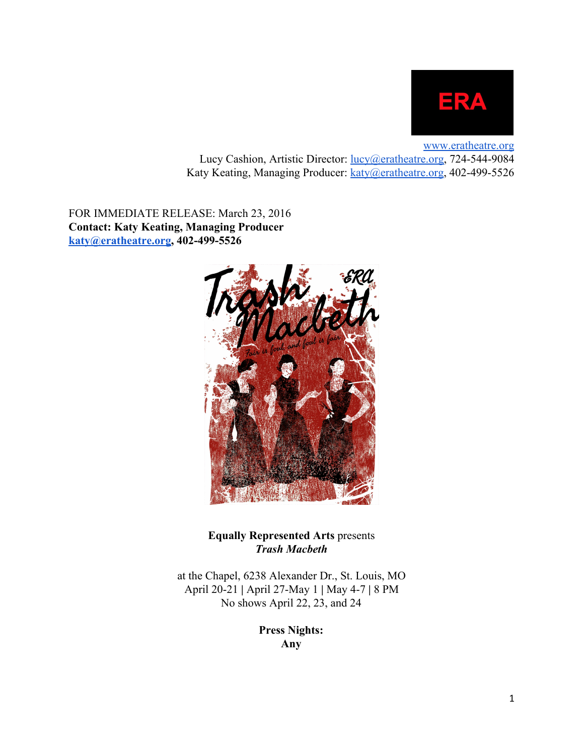

[www.eratheatre.org](http://www.eratheatre.org/) Lucy Cashion, Artistic Director: *lucy@eratheatre.org*, 724-544-9084 Katy Keating, Managing Producer: [katy@eratheatre.org,](mailto:katy@eratheatre.org) 402-499-5526

FOR IMMEDIATE RELEASE: March 23, 2016 **Contact: Katy Keating, Managing Producer [katy@eratheatre.org](mailto:katy@eratheatre.org), 4024995526**



**Equally Represented Arts** presents *Trash Macbeth*

at the Chapel, 6238 Alexander Dr., St. Louis, MO April 20-21 | April 27-May 1 | May 4-7 | 8 PM No shows April 22, 23, and 24

> **Press Nights: Any**